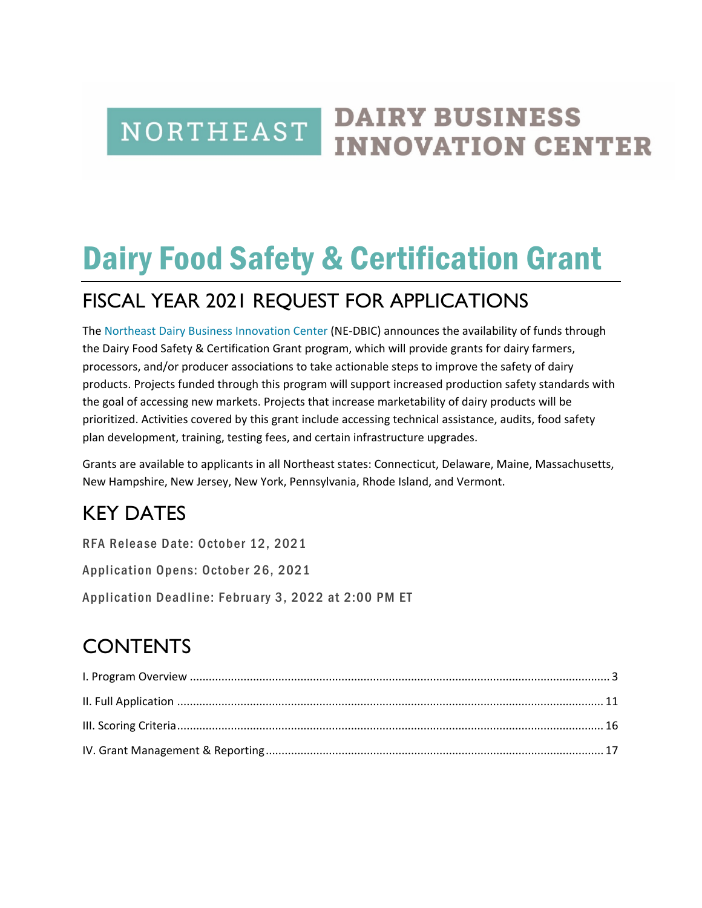### **DAIRY BUSINESS** NORTHEAST **INNOVATION CENTER**

# Dairy Food Safety & Certification Grant

# FISCAL YEAR 2021 REQUEST FOR APPLICATIONS

The [Northeast Dairy Business Innovation Center](https://agriculture.vermont.gov/dbic) (NE-DBIC) announces the availability of funds through the Dairy Food Safety & Certification Grant program, which will provide grants for dairy farmers, processors, and/or producer associations to take actionable steps to improve the safety of dairy products. Projects funded through this program will support increased production safety standards with the goal of accessing new markets. Projects that increase marketability of dairy products will be prioritized. Activities covered by this grant include accessing technical assistance, audits, food safety plan development, training, testing fees, and certain infrastructure upgrades.

Grants are available to applicants in all Northeast states: Connecticut, Delaware, Maine, Massachusetts, New Hampshire, New Jersey, New York, Pennsylvania, Rhode Island, and Vermont.

# KEY DATES

RFA Release Date: October 12, 2021

Application Opens: October 26, 2021

Application Deadline: February 3, 2022 at 2:00 PM ET

# **CONTENTS**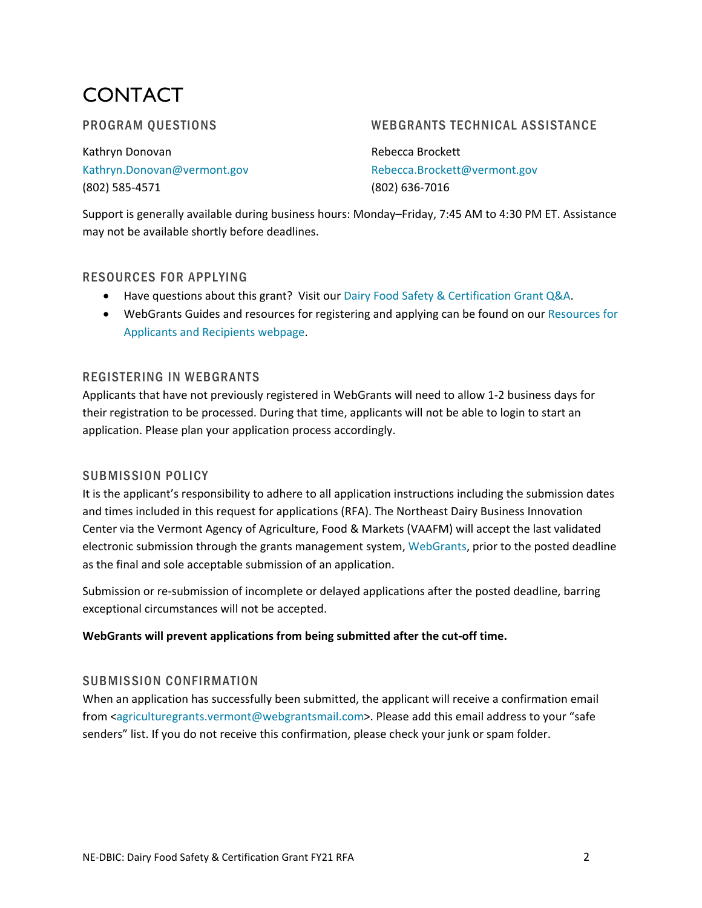# CONTACT

### PROGRAM QUESTIONS

Kathryn Donovan [Kathryn.Donovan@vermont.gov](mailto:Kathryn.Donovan@vermont.gov) (802) 585-4571

WEBGRANTS TECHNICAL ASSISTANCE

Rebecca Brockett [Rebecca.Brockett@vermont.gov](mailto:Rebecca.Brockett@vermont.gov) (802) 636-7016

Support is generally available during business hours: Monday–Friday, 7:45 AM to 4:30 PM ET. Assistance may not be available shortly before deadlines.

### RESOURCES FOR APPLYING

- Have questions about this grant? Visit our [Dairy Food Safety & Certification](https://agriculture.vermont.gov/document/dairy-food-safety-certification-grant-qa) Grant Q&A.
- WebGrants Guides and resources for registering and applying can be found on our [Resources for](https://agriculture.vermont.gov/resources-grant-recipients)  [Applicants and Recipients](https://agriculture.vermont.gov/resources-grant-recipients) webpage.

### REGISTERING IN WEBGRANTS

Applicants that have not previously registered in WebGrants will need to allow 1-2 business days for their registration to be processed. During that time, applicants will not be able to login to start an application. Please plan your application process accordingly.

### SUBMISSION POLICY

It is the applicant's responsibility to adhere to all application instructions including the submission dates and times included in this request for applications (RFA). The Northeast Dairy Business Innovation Center via the Vermont Agency of Agriculture, Food & Markets (VAAFM) will accept the last validated electronic submission through the grants management system, [WebGrants,](https://agriculturegrants.vermont.gov/index.do) prior to the posted deadline as the final and sole acceptable submission of an application.

Submission or re-submission of incomplete or delayed applications after the posted deadline, barring exceptional circumstances will not be accepted.

#### **WebGrants will prevent applications from being submitted after the cut-off time.**

### SUBMISSION CONFIRMATION

When an application has successfully been submitted, the applicant will receive a confirmation email from [<agriculturegrants.vermont@webgrantsmail.com>](mailto:agriculturegrants.vermont@webgrantsmail.com). Please add this email address to your "safe senders" list. If you do not receive this confirmation, please check your junk or spam folder.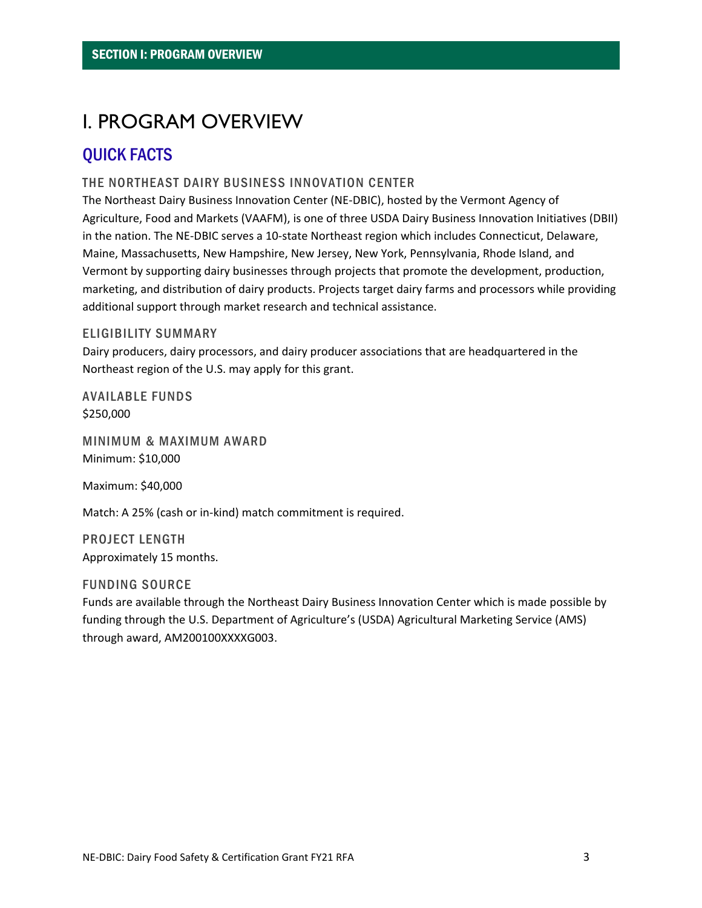# <span id="page-2-0"></span>I. PROGRAM OVERVIEW

### QUICK FACTS

### THE NORTHEAST DAIRY BUSINESS INNOVATION CENTER

The Northeast Dairy Business Innovation Center (NE-DBIC), hosted by the Vermont Agency of Agriculture, Food and Markets (VAAFM), is one of three USDA Dairy Business Innovation Initiatives (DBII) in the nation. The NE-DBIC serves a 10-state Northeast region which includes Connecticut, Delaware, Maine, Massachusetts, New Hampshire, New Jersey, New York, Pennsylvania, Rhode Island, and Vermont by supporting dairy businesses through projects that promote the development, production, marketing, and distribution of dairy products. Projects target dairy farms and processors while providing additional support through market research and technical assistance.

#### ELIGIBILITY SUMMARY

Dairy producers, dairy processors, and dairy producer associations that are headquartered in the Northeast region of the U.S. may apply for this grant.

AVAILABLE FUNDS \$250,000

MINIMUM & MAXIMUM AWARD Minimum: \$10,000

Maximum: \$40,000

Match: A 25% (cash or in-kind) match commitment is required.

PROJECT LENGTH Approximately 15 months.

#### FUNDING SOURCE

Funds are available through the Northeast Dairy Business Innovation Center which is made possible by funding through the U.S. Department of Agriculture's (USDA) Agricultural Marketing Service (AMS) through award, AM200100XXXXG003.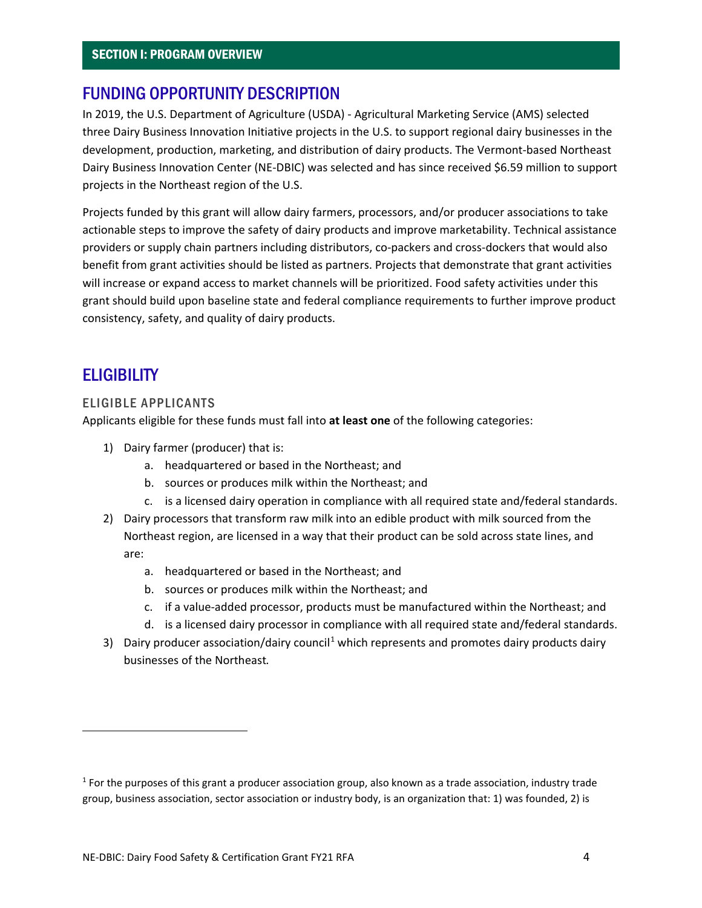### FUNDING OPPORTUNITY DESCRIPTION

In 2019, the U.S. Department of Agriculture (USDA) - Agricultural Marketing Service (AMS) selected three Dairy Business Innovation Initiative projects in the U.S. to support regional dairy businesses in the development, production, marketing, and distribution of dairy products. The Vermont-based Northeast Dairy Business Innovation Center (NE-DBIC) was selected and has since received \$6.59 million to support projects in the Northeast region of the U.S.

Projects funded by this grant will allow dairy farmers, processors, and/or producer associations to take actionable steps to improve the safety of dairy products and improve marketability. Technical assistance providers or supply chain partners including distributors, co-packers and cross-dockers that would also benefit from grant activities should be listed as partners. Projects that demonstrate that grant activities will increase or expand access to market channels will be prioritized. Food safety activities under this grant should build upon baseline state and federal compliance requirements to further improve product consistency, safety, and quality of dairy products.

### **ELIGIBILITY**

#### ELIGIBLE APPLICANTS

Applicants eligible for these funds must fall into **at least one** of the following categories:

- 1) Dairy farmer (producer) that is:
	- a. headquartered or based in the Northeast; and
	- b. sources or produces milk within the Northeast; and
	- c. is a licensed dairy operation in compliance with all required state and/federal standards.
- 2) Dairy processors that transform raw milk into an edible product with milk sourced from the Northeast region, are licensed in a way that their product can be sold across state lines, and are:
	- a. headquartered or based in the Northeast; and
	- b. sources or produces milk within the Northeast; and
	- c. if a value-added processor, products must be manufactured within the Northeast; and
	- d. is a licensed dairy processor in compliance with all required state and/federal standards.
- 3) Dairy producer association/dairy council<sup>[1](#page-3-0)</sup> which represents and promotes dairy products dairy businesses of the Northeast*.*

<span id="page-3-0"></span> $1$  For the purposes of this grant a producer association group, also known as a trade association, industry trade group, business association, sector association or industry body, is an organization that: 1) was founded, 2) is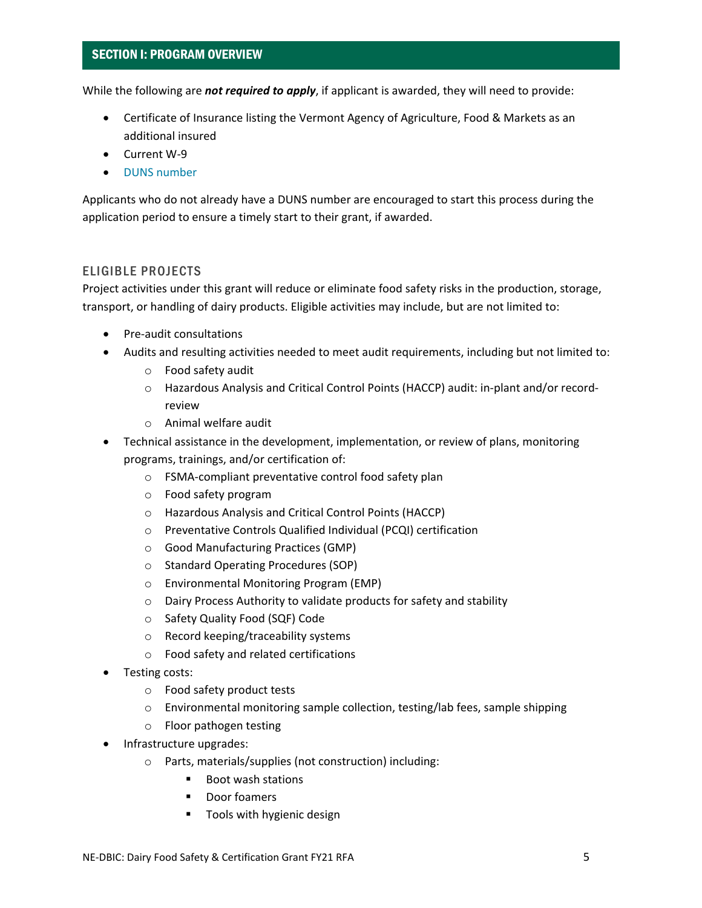While the following are *not required to apply*, if applicant is awarded, they will need to provide:

- Certificate of Insurance listing the Vermont Agency of Agriculture, Food & Markets as an additional insured
- Current W-9
- [DUNS number](https://fedgov.dnb.com/webform/displayHomePage.do)

Applicants who do not already have a DUNS number are encouraged to start this process during the application period to ensure a timely start to their grant, if awarded.

#### ELIGIBLE PROJECTS

Project activities under this grant will reduce or eliminate food safety risks in the production, storage, transport, or handling of dairy products. Eligible activities may include, but are not limited to:

- Pre-audit consultations
- Audits and resulting activities needed to meet audit requirements, including but not limited to:
	- o Food safety audit
	- o Hazardous Analysis and Critical Control Points (HACCP) audit: in-plant and/or recordreview
	- o Animal welfare audit
- Technical assistance in the development, implementation, or review of plans, monitoring programs, trainings, and/or certification of:
	- o FSMA-compliant preventative control food safety plan
	- o Food safety program
	- o Hazardous Analysis and Critical Control Points (HACCP)
	- o Preventative Controls Qualified Individual (PCQI) certification
	- o Good Manufacturing Practices (GMP)
	- o Standard Operating Procedures (SOP)
	- o Environmental Monitoring Program (EMP)
	- o Dairy Process Authority to validate products for safety and stability
	- o Safety Quality Food (SQF) Code
	- o Record keeping/traceability systems
	- o Food safety and related certifications
- Testing costs:
	- o Food safety product tests
	- $\circ$  Environmental monitoring sample collection, testing/lab fees, sample shipping
	- o Floor pathogen testing
- Infrastructure upgrades:
	- o Parts, materials/supplies (not construction) including:
		- Boot wash stations
		- **Door foamers**
		- Tools with hygienic design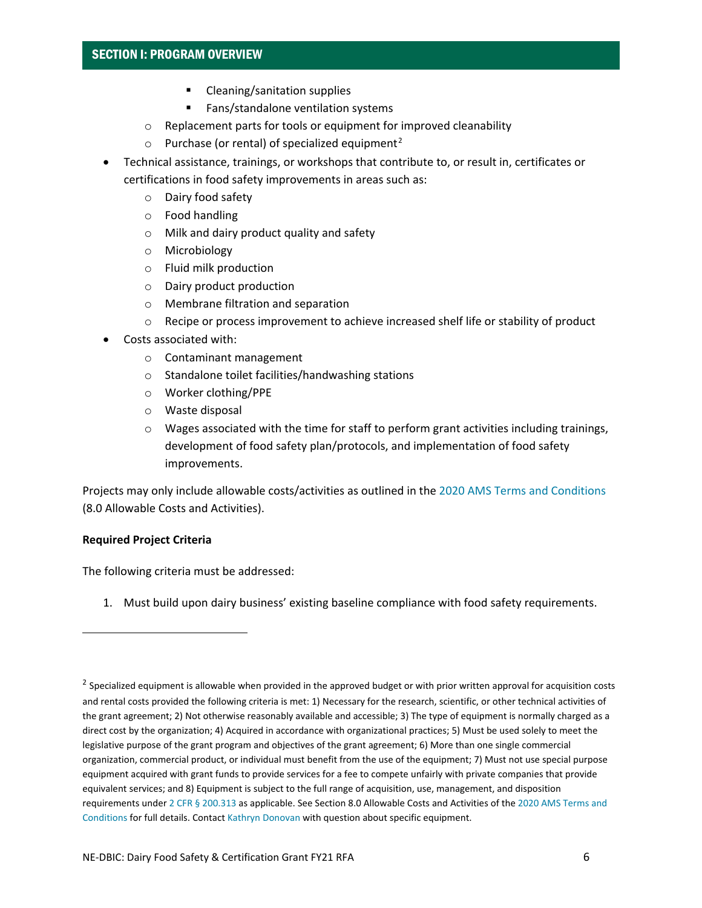- **EXEC** Cleaning/sanitation supplies
- **Fans/standalone ventilation systems**
- o Replacement parts for tools or equipment for improved cleanability
- $\circ$  Purchase (or rental) of specialized equipment<sup>[2](#page-5-0)</sup>
- Technical assistance, trainings, or workshops that contribute to, or result in, certificates or certifications in food safety improvements in areas such as:
	- o Dairy food safety
	- o Food handling
	- o Milk and dairy product quality and safety
	- o Microbiology
	- o Fluid milk production
	- o Dairy product production
	- o Membrane filtration and separation
	- o Recipe or process improvement to achieve increased shelf life or stability of product
- Costs associated with:
	- o Contaminant management
	- o Standalone toilet facilities/handwashing stations
	- o Worker clothing/PPE
	- o Waste disposal
	- $\circ$  Wages associated with the time for staff to perform grant activities including trainings, development of food safety plan/protocols, and implementation of food safety improvements.

Projects may only include allowable costs/activities as outlined in the [2020 AMS Terms and Conditions](https://www.ams.usda.gov/sites/default/files/media/FY2020GDTermsandConditionsUpdates.pdf) (8.0 Allowable Costs and Activities).

#### **Required Project Criteria**

The following criteria must be addressed:

1. Must build upon dairy business' existing baseline compliance with food safety requirements.

<span id="page-5-0"></span><sup>&</sup>lt;sup>2</sup> Specialized equipment is allowable when provided in the approved budget or with prior written approval for acquisition costs and rental costs provided the following criteria is met: 1) Necessary for the research, scientific, or other technical activities of the grant agreement; 2) Not otherwise reasonably available and accessible; 3) The type of equipment is normally charged as a direct cost by the organization; 4) Acquired in accordance with organizational practices; 5) Must be used solely to meet the legislative purpose of the grant program and objectives of the grant agreement; 6) More than one single commercial organization, commercial product, or individual must benefit from the use of the equipment; 7) Must not use special purpose equipment acquired with grant funds to provide services for a fee to compete unfairly with private companies that provide equivalent services; and 8) Equipment is subject to the full range of acquisition, use, management, and disposition requirements unde[r 2 CFR § 200.313](https://www.ecfr.gov/current/title-2/subtitle-A/chapter-II/part-200#200.313) as applicable. See Section 8.0 Allowable Costs and Activities of the [2020 AMS Terms and](https://www.ams.usda.gov/sites/default/files/media/FY2020GDTermsandConditionsUpdates.pdf)  [Conditions](https://www.ams.usda.gov/sites/default/files/media/FY2020GDTermsandConditionsUpdates.pdf) for full details. Contac[t Kathryn Donovan](mailto:kathryn.donovan@vermont.gov?subject=Specialized%20Equipment%20Question) with question about specific equipment.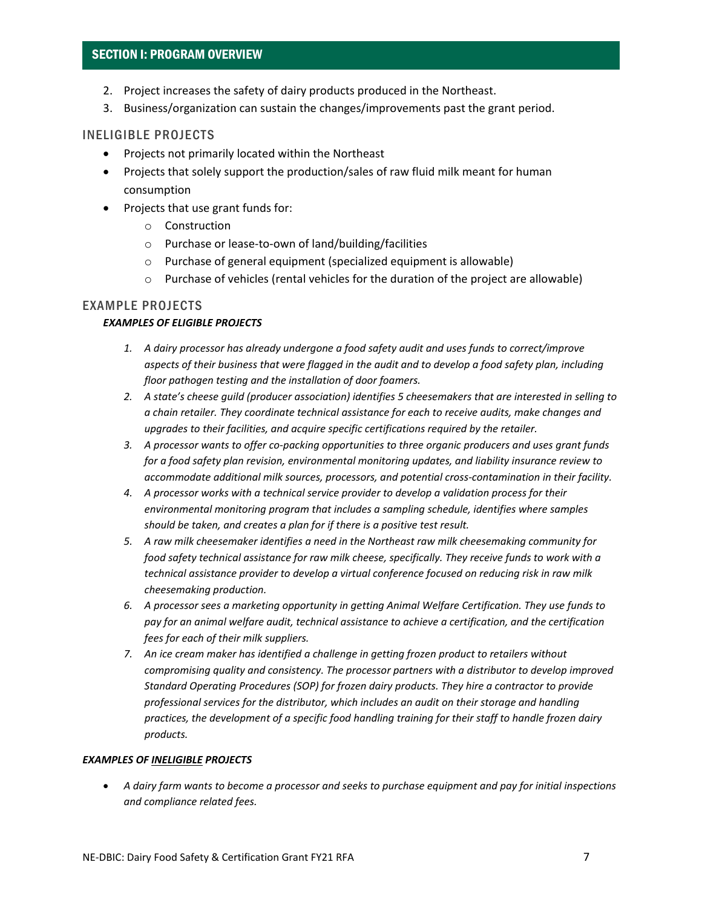- 2. Project increases the safety of dairy products produced in the Northeast.
- 3. Business/organization can sustain the changes/improvements past the grant period.

#### INELIGIBLE PROJECTS

- Projects not primarily located within the Northeast
- Projects that solely support the production/sales of raw fluid milk meant for human consumption
- Projects that use grant funds for:
	- o Construction
	- o Purchase or lease-to-own of land/building/facilities
	- o Purchase of general equipment (specialized equipment is allowable)
	- $\circ$  Purchase of vehicles (rental vehicles for the duration of the project are allowable)

#### EXAMPLE PROJECTS

#### *EXAMPLES OF ELIGIBLE PROJECTS*

- *1. A dairy processor has already undergone a food safety audit and uses funds to correct/improve aspects of their business that were flagged in the audit and to develop a food safety plan, including floor pathogen testing and the installation of door foamers.*
- *2. A state's cheese guild (producer association) identifies 5 cheesemakers that are interested in selling to a chain retailer. They coordinate technical assistance for each to receive audits, make changes and upgrades to their facilities, and acquire specific certifications required by the retailer.*
- *3. A processor wants to offer co-packing opportunities to three organic producers and uses grant funds for a food safety plan revision, environmental monitoring updates, and liability insurance review to accommodate additional milk sources, processors, and potential cross-contamination in their facility.*
- *4. A processor works with a technical service provider to develop a validation process for their environmental monitoring program that includes a sampling schedule, identifies where samples should be taken, and creates a plan for if there is a positive test result.*
- *5. A raw milk cheesemaker identifies a need in the Northeast raw milk cheesemaking community for food safety technical assistance for raw milk cheese, specifically. They receive funds to work with a technical assistance provider to develop a virtual conference focused on reducing risk in raw milk cheesemaking production.*
- *6. A processor sees a marketing opportunity in getting Animal Welfare Certification. They use funds to pay for an animal welfare audit, technical assistance to achieve a certification, and the certification fees for each of their milk suppliers.*
- *7. An ice cream maker has identified a challenge in getting frozen product to retailers without compromising quality and consistency. The processor partners with a distributor to develop improved Standard Operating Procedures (SOP) for frozen dairy products. They hire a contractor to provide professional services for the distributor, which includes an audit on their storage and handling practices, the development of a specific food handling training for their staff to handle frozen dairy products.*

#### *EXAMPLES OF INELIGIBLE PROJECTS*

• *A dairy farm wants to become a processor and seeks to purchase equipment and pay for initial inspections and compliance related fees.*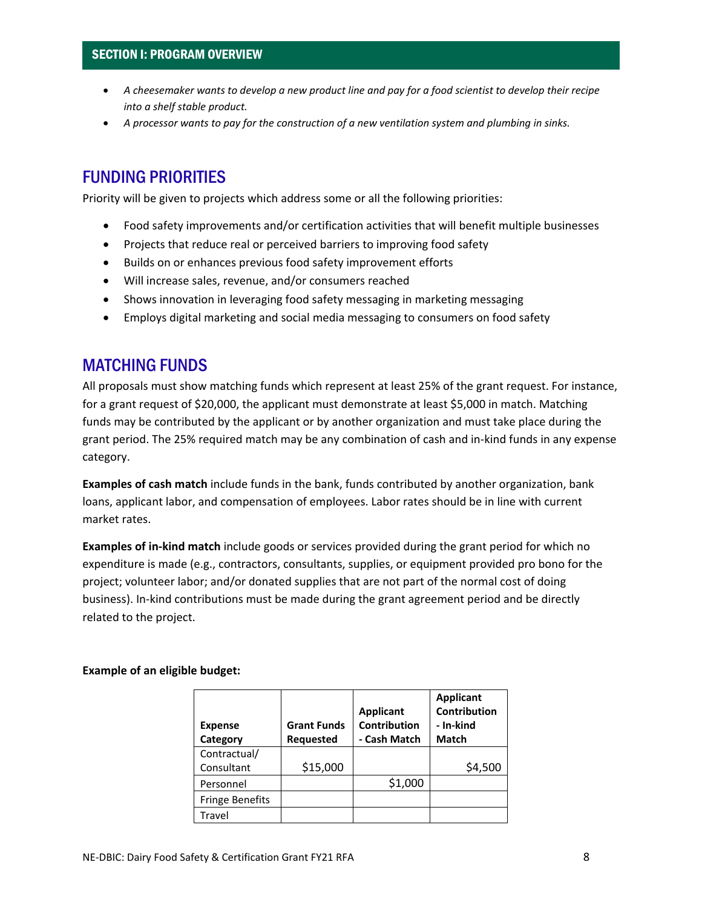- *A cheesemaker wants to develop a new product line and pay for a food scientist to develop their recipe into a shelf stable product.*
- *A processor wants to pay for the construction of a new ventilation system and plumbing in sinks.*

### FUNDING PRIORITIES

Priority will be given to projects which address some or all the following priorities:

- Food safety improvements and/or certification activities that will benefit multiple businesses
- Projects that reduce real or perceived barriers to improving food safety
- Builds on or enhances previous food safety improvement efforts
- Will increase sales, revenue, and/or consumers reached
- Shows innovation in leveraging food safety messaging in marketing messaging
- Employs digital marketing and social media messaging to consumers on food safety

### MATCHING FUNDS

All proposals must show matching funds which represent at least 25% of the grant request. For instance, for a grant request of \$20,000, the applicant must demonstrate at least \$5,000 in match. Matching funds may be contributed by the applicant or by another organization and must take place during the grant period. The 25% required match may be any combination of cash and in-kind funds in any expense category.

**Examples of cash match** include funds in the bank, funds contributed by another organization, bank loans, applicant labor, and compensation of employees. Labor rates should be in line with current market rates.

**Examples of in-kind match** include goods or services provided during the grant period for which no expenditure is made (e.g., contractors, consultants, supplies, or equipment provided pro bono for the project; volunteer labor; and/or donated supplies that are not part of the normal cost of doing business). In-kind contributions must be made during the grant agreement period and be directly related to the project.

#### **Example of an eligible budget:**

| <b>Expense</b><br>Category | <b>Grant Funds</b><br><b>Requested</b> | <b>Applicant</b><br>Contribution<br>- Cash Match | <b>Applicant</b><br>Contribution<br>- In-kind<br><b>Match</b> |
|----------------------------|----------------------------------------|--------------------------------------------------|---------------------------------------------------------------|
| Contractual/               |                                        |                                                  |                                                               |
| Consultant                 | \$15,000                               |                                                  | \$4,500                                                       |
| Personnel                  |                                        | \$1,000                                          |                                                               |
| <b>Fringe Benefits</b>     |                                        |                                                  |                                                               |
| Travel                     |                                        |                                                  |                                                               |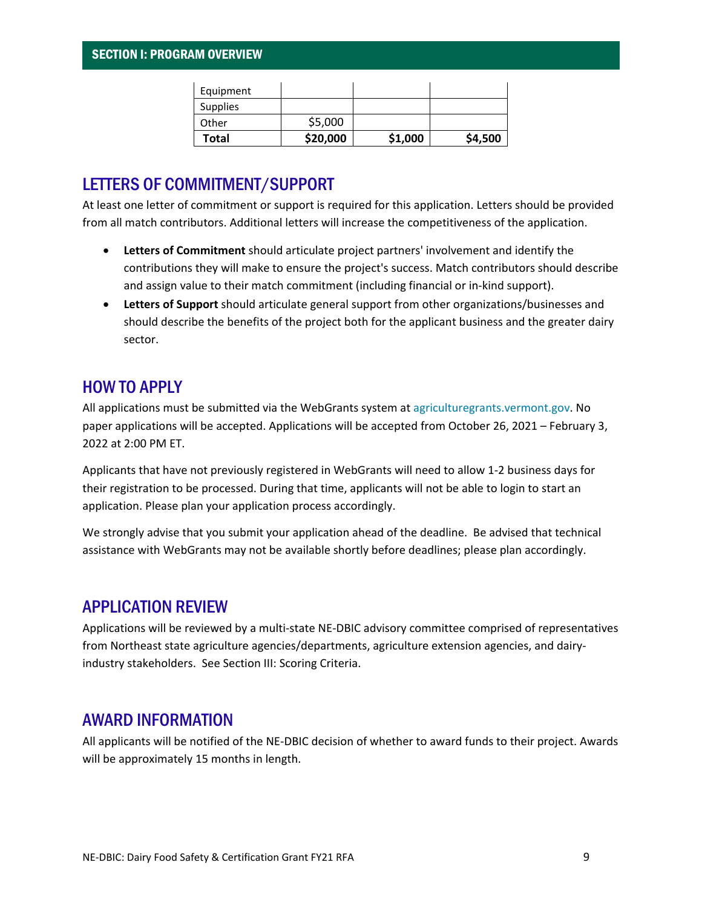| Equipment |          |         |         |
|-----------|----------|---------|---------|
| Supplies  |          |         |         |
| Other     | \$5,000  |         |         |
| Total     | \$20,000 | \$1,000 | \$4,500 |

### LETTERS OF COMMITMENT/SUPPORT

At least one letter of commitment or support is required for this application. Letters should be provided from all match contributors. Additional letters will increase the competitiveness of the application.

- **Letters of Commitment** should articulate project partners' involvement and identify the contributions they will make to ensure the project's success. Match contributors should describe and assign value to their match commitment (including financial or in-kind support).
- **Letters of Support** should articulate general support from other organizations/businesses and should describe the benefits of the project both for the applicant business and the greater dairy sector.

### HOW TO APPLY

All applications must be submitted via the WebGrants system at [agriculturegrants.vermont.gov.](http://agriculturegrants.vermont.gov/) No paper applications will be accepted. Applications will be accepted from October 26, 2021 – February 3, 2022 at 2:00 PM ET.

Applicants that have not previously registered in WebGrants will need to allow 1-2 business days for their registration to be processed. During that time, applicants will not be able to login to start an application. Please plan your application process accordingly.

We strongly advise that you submit your application ahead of the deadline. Be advised that technical assistance with WebGrants may not be available shortly before deadlines; please plan accordingly.

### APPLICATION REVIEW

Applications will be reviewed by a multi-state NE-DBIC advisory committee comprised of representatives from Northeast state agriculture agencies/departments, agriculture extension agencies, and dairyindustry stakeholders. See Section III: Scoring Criteria.

### AWARD INFORMATION

All applicants will be notified of the NE-DBIC decision of whether to award funds to their project. Awards will be approximately 15 months in length.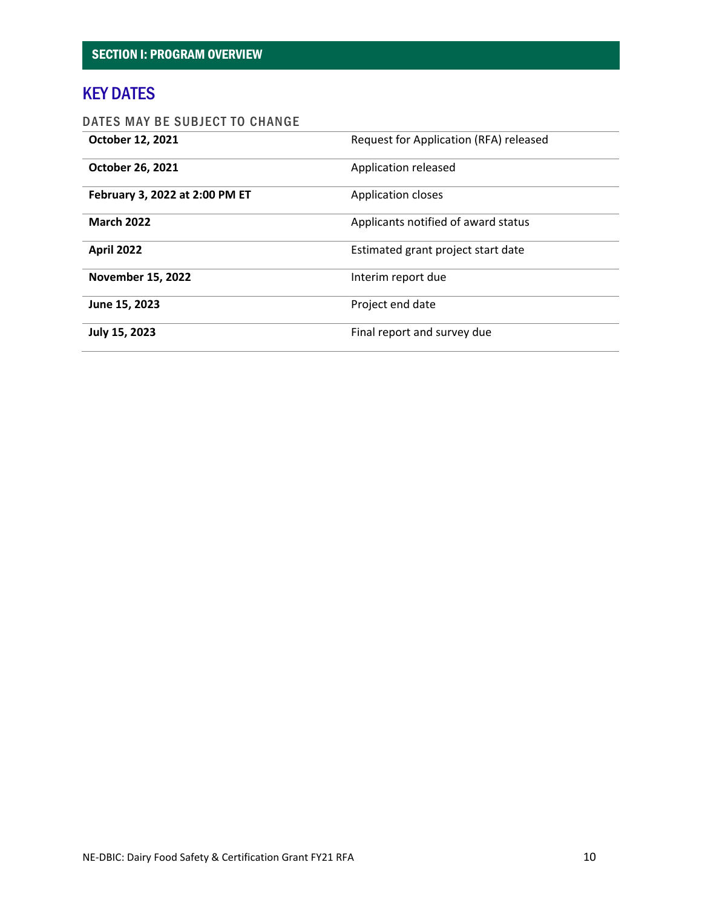### KEY DATES

### DATES MAY BE SUBJECT TO CHANGE

<span id="page-9-0"></span>

| October 12, 2021               | Request for Application (RFA) released |
|--------------------------------|----------------------------------------|
| October 26, 2021               | Application released                   |
| February 3, 2022 at 2:00 PM ET | <b>Application closes</b>              |
| <b>March 2022</b>              | Applicants notified of award status    |
| <b>April 2022</b>              | Estimated grant project start date     |
| <b>November 15, 2022</b>       | Interim report due                     |
| June 15, 2023                  | Project end date                       |
| July 15, 2023                  | Final report and survey due            |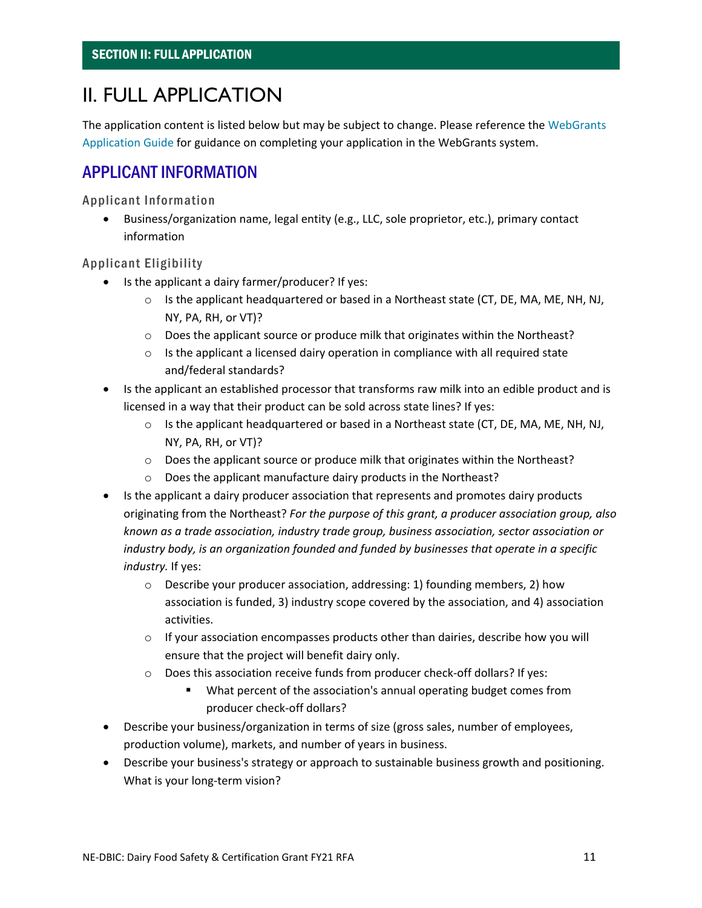# II. FULL APPLICATION

<span id="page-10-0"></span>The application content is listed below but may be subject to change. Please reference the WebGrants [Application Guide](https://agriculture.vermont.gov/grants/howtoapply) for guidance on completing your application in the WebGrants system.

### APPLICANT INFORMATION

Applicant Information

• Business/organization name, legal entity (e.g., LLC, sole proprietor, etc.), primary contact information

Applicant Eligibility

- Is the applicant a dairy farmer/producer? If yes:
	- $\circ$  Is the applicant headquartered or based in a Northeast state (CT, DE, MA, ME, NH, NJ, NY, PA, RH, or VT)?
	- o Does the applicant source or produce milk that originates within the Northeast?
	- o Is the applicant a licensed dairy operation in compliance with all required state and/federal standards?
- Is the applicant an established processor that transforms raw milk into an edible product and is licensed in a way that their product can be sold across state lines? If yes:
	- $\circ$  Is the applicant headquartered or based in a Northeast state (CT, DE, MA, ME, NH, NJ, NY, PA, RH, or VT)?
	- $\circ$  Does the applicant source or produce milk that originates within the Northeast?
	- o Does the applicant manufacture dairy products in the Northeast?
- Is the applicant a dairy producer association that represents and promotes dairy products originating from the Northeast? *For the purpose of this grant, a producer association group, also known as a trade association, industry trade group, business association, sector association or industry body, is an organization founded and funded by businesses that operate in a specific industry.* If yes:
	- $\circ$  Describe your producer association, addressing: 1) founding members, 2) how association is funded, 3) industry scope covered by the association, and 4) association activities.
	- $\circ$  If your association encompasses products other than dairies, describe how you will ensure that the project will benefit dairy only.
	- o Does this association receive funds from producer check-off dollars? If yes:
		- What percent of the association's annual operating budget comes from producer check-off dollars?
- Describe your business/organization in terms of size (gross sales, number of employees, production volume), markets, and number of years in business.
- Describe your business's strategy or approach to sustainable business growth and positioning. What is your long-term vision?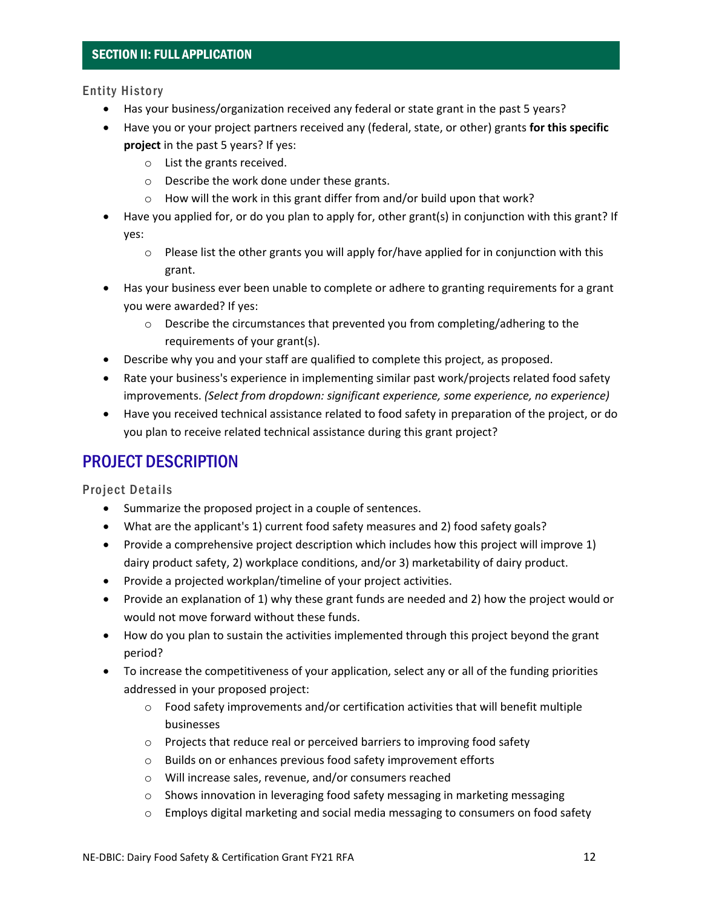### SECTION II: FULL APPLICATION

#### Entity History

- Has your business/organization received any federal or state grant in the past 5 years?
- Have you or your project partners received any (federal, state, or other) grants **for this specific project** in the past 5 years? If yes:
	- o List the grants received.
	- o Describe the work done under these grants.
	- o How will the work in this grant differ from and/or build upon that work?
- Have you applied for, or do you plan to apply for, other grant(s) in conjunction with this grant? If yes:
	- o Please list the other grants you will apply for/have applied for in conjunction with this grant.
- Has your business ever been unable to complete or adhere to granting requirements for a grant you were awarded? If yes:
	- $\circ$  Describe the circumstances that prevented you from completing/adhering to the requirements of your grant(s).
- Describe why you and your staff are qualified to complete this project, as proposed.
- Rate your business's experience in implementing similar past work/projects related food safety improvements. *(Select from dropdown: significant experience, some experience, no experience)*
- Have you received technical assistance related to food safety in preparation of the project, or do you plan to receive related technical assistance during this grant project?

### PROJECT DESCRIPTION

Project Details

- Summarize the proposed project in a couple of sentences.
- What are the applicant's 1) current food safety measures and 2) food safety goals?
- Provide a comprehensive project description which includes how this project will improve 1) dairy product safety, 2) workplace conditions, and/or 3) marketability of dairy product.
- Provide a projected workplan/timeline of your project activities.
- Provide an explanation of 1) why these grant funds are needed and 2) how the project would or would not move forward without these funds.
- How do you plan to sustain the activities implemented through this project beyond the grant period?
- To increase the competitiveness of your application, select any or all of the funding priorities addressed in your proposed project:
	- $\circ$  Food safety improvements and/or certification activities that will benefit multiple businesses
	- o Projects that reduce real or perceived barriers to improving food safety
	- o Builds on or enhances previous food safety improvement efforts
	- o Will increase sales, revenue, and/or consumers reached
	- $\circ$  Shows innovation in leveraging food safety messaging in marketing messaging
	- $\circ$  Employs digital marketing and social media messaging to consumers on food safety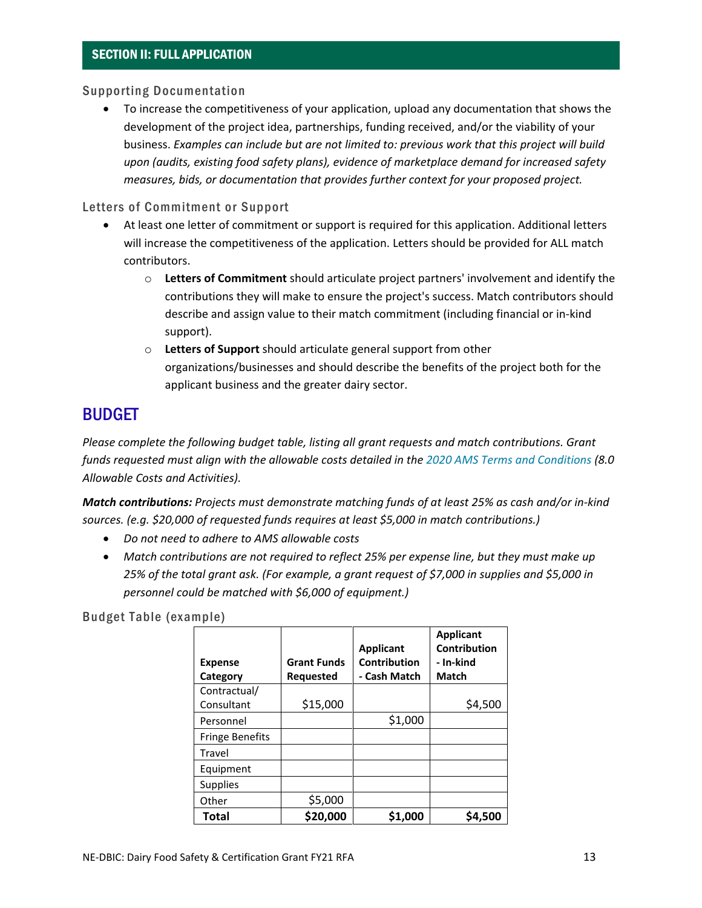#### Supporting Documentation

• To increase the competitiveness of your application, upload any documentation that shows the development of the project idea, partnerships, funding received, and/or the viability of your business. *Examples can include but are not limited to: previous work that this project will build upon (audits, existing food safety plans), evidence of marketplace demand for increased safety measures, bids, or documentation that provides further context for your proposed project.*

#### Letters of Commitment or Support

- At least one letter of commitment or support is required for this application. Additional letters will increase the competitiveness of the application. Letters should be provided for ALL match contributors.
	- o **Letters of Commitment** should articulate project partners' involvement and identify the contributions they will make to ensure the project's success. Match contributors should describe and assign value to their match commitment (including financial or in-kind support).
	- o **Letters of Support** should articulate general support from other organizations/businesses and should describe the benefits of the project both for the applicant business and the greater dairy sector.

### BUDGET

*Please complete the following budget table, listing all grant requests and match contributions. Grant funds requested must align with the allowable costs detailed in the [2020 AMS Terms and Conditions](https://www.ams.usda.gov/sites/default/files/media/FY2020GDTermsandConditionsUpdates.pdf) (8.0 Allowable Costs and Activities).* 

*Match contributions: Projects must demonstrate matching funds of at least 25% as cash and/or in-kind sources. (e.g. \$20,000 of requested funds requires at least \$5,000 in match contributions.)*

- *Do not need to adhere to AMS allowable costs*
- *Match contributions are not required to reflect 25% per expense line, but they must make up 25% of the total grant ask. (For example, a grant request of \$7,000 in supplies and \$5,000 in personnel could be matched with \$6,000 of equipment.)*

Budget Table (example)

|                        |                    | <b>Applicant</b> | <b>Applicant</b><br><b>Contribution</b> |
|------------------------|--------------------|------------------|-----------------------------------------|
| <b>Expense</b>         | <b>Grant Funds</b> | Contribution     | - In-kind                               |
| Category               | <b>Requested</b>   | - Cash Match     | Match                                   |
| Contractual/           |                    |                  |                                         |
| Consultant             | \$15,000           |                  | \$4,500                                 |
| Personnel              |                    | \$1,000          |                                         |
| <b>Fringe Benefits</b> |                    |                  |                                         |
| Travel                 |                    |                  |                                         |
| Equipment              |                    |                  |                                         |
| Supplies               |                    |                  |                                         |
| Other                  | \$5,000            |                  |                                         |
| <b>Total</b>           | \$20,000           | \$1,000          | \$4,500                                 |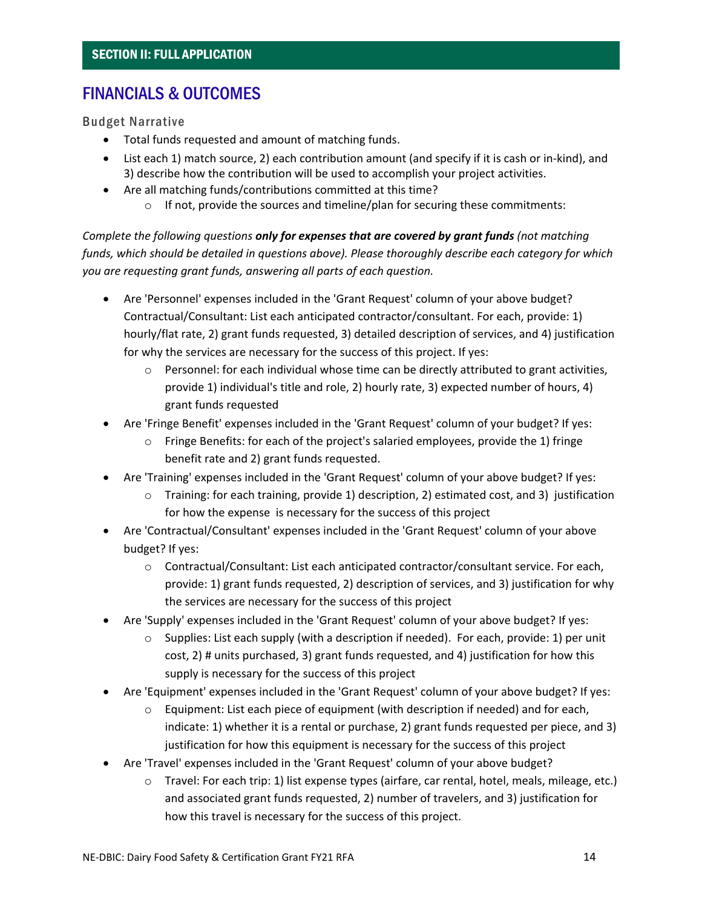### FINANCIALS & OUTCOMES

Budget Narrative

- Total funds requested and amount of matching funds.
- List each 1) match source, 2) each contribution amount (and specify if it is cash or in-kind), and 3) describe how the contribution will be used to accomplish your project activities.
- Are all matching funds/contributions committed at this time?
	- $\circ$  If not, provide the sources and timeline/plan for securing these commitments:

*Complete the following questions only for expenses that are covered by grant funds (not matching funds, which should be detailed in questions above). Please thoroughly describe each category for which you are requesting grant funds, answering all parts of each question.* 

- Are 'Personnel' expenses included in the 'Grant Request' column of your above budget? Contractual/Consultant: List each anticipated contractor/consultant. For each, provide: 1) hourly/flat rate, 2) grant funds requested, 3) detailed description of services, and 4) justification for why the services are necessary for the success of this project. If yes:
	- $\circ$  Personnel: for each individual whose time can be directly attributed to grant activities, provide 1) individual's title and role, 2) hourly rate, 3) expected number of hours, 4) grant funds requested
- Are 'Fringe Benefit' expenses included in the 'Grant Request' column of your budget? If yes:
	- $\circ$  Fringe Benefits: for each of the project's salaried employees, provide the 1) fringe benefit rate and 2) grant funds requested.
- Are 'Training' expenses included in the 'Grant Request' column of your above budget? If yes:
	- o Training: for each training, provide 1) description, 2) estimated cost, and 3) justification for how the expense is necessary for the success of this project
- Are 'Contractual/Consultant' expenses included in the 'Grant Request' column of your above budget? If yes:
	- o Contractual/Consultant: List each anticipated contractor/consultant service. For each, provide: 1) grant funds requested, 2) description of services, and 3) justification for why the services are necessary for the success of this project
- Are 'Supply' expenses included in the 'Grant Request' column of your above budget? If yes:
	- $\circ$  Supplies: List each supply (with a description if needed). For each, provide: 1) per unit cost, 2) # units purchased, 3) grant funds requested, and 4) justification for how this supply is necessary for the success of this project
- Are 'Equipment' expenses included in the 'Grant Request' column of your above budget? If yes:
	- $\circ$  Equipment: List each piece of equipment (with description if needed) and for each, indicate: 1) whether it is a rental or purchase, 2) grant funds requested per piece, and 3) justification for how this equipment is necessary for the success of this project
- Are 'Travel' expenses included in the 'Grant Request' column of your above budget?
	- o Travel: For each trip: 1) list expense types (airfare, car rental, hotel, meals, mileage, etc.) and associated grant funds requested, 2) number of travelers, and 3) justification for how this travel is necessary for the success of this project.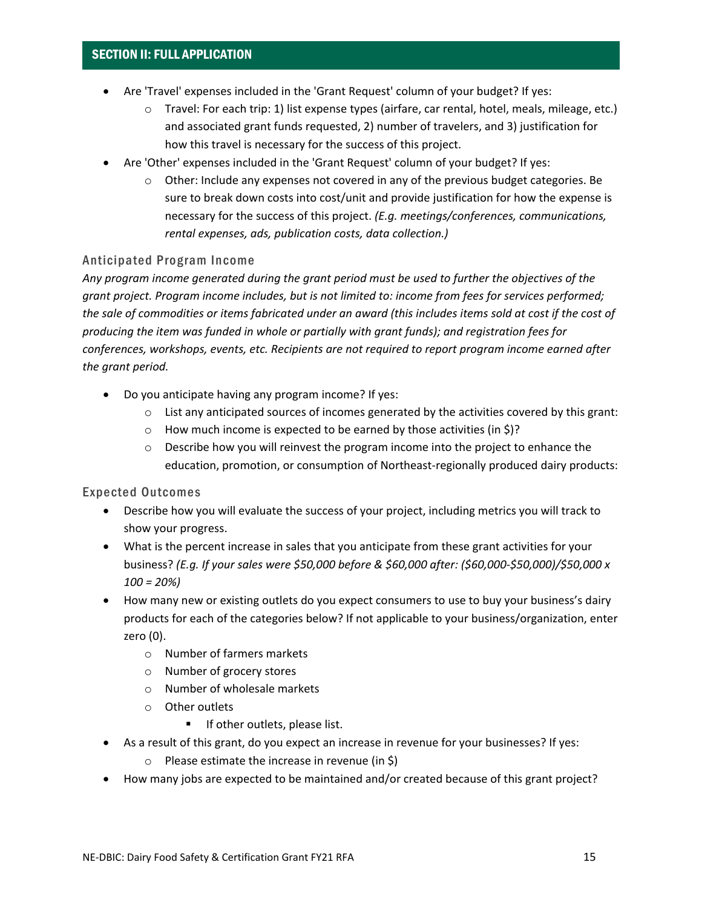- Are 'Travel' expenses included in the 'Grant Request' column of your budget? If yes:
	- o Travel: For each trip: 1) list expense types (airfare, car rental, hotel, meals, mileage, etc.) and associated grant funds requested, 2) number of travelers, and 3) justification for how this travel is necessary for the success of this project.
- Are 'Other' expenses included in the 'Grant Request' column of your budget? If yes:
	- $\circ$  Other: Include any expenses not covered in any of the previous budget categories. Be sure to break down costs into cost/unit and provide justification for how the expense is necessary for the success of this project. *(E.g. meetings/conferences, communications, rental expenses, ads, publication costs, data collection.)*

#### Anticipated Program Income

*Any program income generated during the grant period must be used to further the objectives of the grant project. Program income includes, but is not limited to: income from fees for services performed; the sale of commodities or items fabricated under an award (this includes items sold at cost if the cost of producing the item was funded in whole or partially with grant funds); and registration fees for conferences, workshops, events, etc. Recipients are not required to report program income earned after the grant period.*

- Do you anticipate having any program income? If yes:
	- $\circ$  List any anticipated sources of incomes generated by the activities covered by this grant:
	- $\circ$  How much income is expected to be earned by those activities (in \$)?
	- $\circ$  Describe how you will reinvest the program income into the project to enhance the education, promotion, or consumption of Northeast-regionally produced dairy products:

#### Expected Outcomes

- Describe how you will evaluate the success of your project, including metrics you will track to show your progress.
- What is the percent increase in sales that you anticipate from these grant activities for your business? *(E.g. If your sales were \$50,000 before & \$60,000 after: (\$60,000-\$50,000)/\$50,000 x 100 = 20%)*
- How many new or existing outlets do you expect consumers to use to buy your business's dairy products for each of the categories below? If not applicable to your business/organization, enter zero (0).
	- o Number of farmers markets
	- o Number of grocery stores
	- o Number of wholesale markets
	- o Other outlets
		- **If other outlets, please list.**
- As a result of this grant, do you expect an increase in revenue for your businesses? If yes:
	- $\circ$  Please estimate the increase in revenue (in \$)
- How many jobs are expected to be maintained and/or created because of this grant project?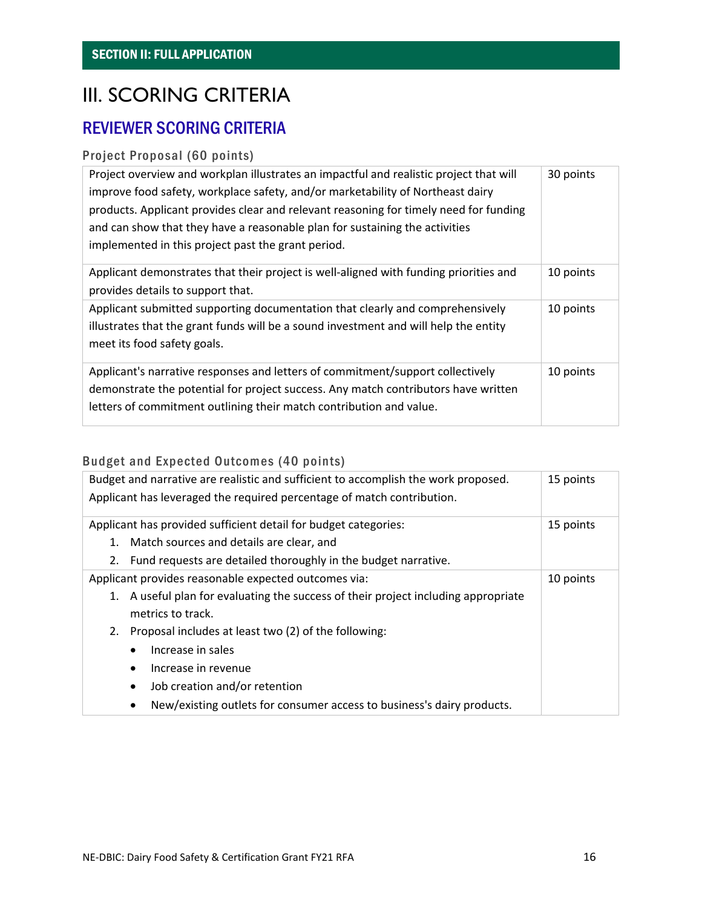# III. SCORING CRITERIA

### REVIEWER SCORING CRITERIA

### Project Proposal (60 points)

| Project overview and workplan illustrates an impactful and realistic project that will<br>improve food safety, workplace safety, and/or marketability of Northeast dairy<br>products. Applicant provides clear and relevant reasoning for timely need for funding<br>and can show that they have a reasonable plan for sustaining the activities<br>implemented in this project past the grant period. | 30 points |
|--------------------------------------------------------------------------------------------------------------------------------------------------------------------------------------------------------------------------------------------------------------------------------------------------------------------------------------------------------------------------------------------------------|-----------|
| Applicant demonstrates that their project is well-aligned with funding priorities and<br>provides details to support that.                                                                                                                                                                                                                                                                             | 10 points |
| Applicant submitted supporting documentation that clearly and comprehensively<br>illustrates that the grant funds will be a sound investment and will help the entity<br>meet its food safety goals.                                                                                                                                                                                                   | 10 points |
| Applicant's narrative responses and letters of commitment/support collectively<br>demonstrate the potential for project success. Any match contributors have written<br>letters of commitment outlining their match contribution and value.                                                                                                                                                            | 10 points |

### Budget and Expected Outcomes (40 points)

| Budget and narrative are realistic and sufficient to accomplish the work proposed.<br>Applicant has leveraged the required percentage of match contribution. | 15 points |
|--------------------------------------------------------------------------------------------------------------------------------------------------------------|-----------|
| Applicant has provided sufficient detail for budget categories:                                                                                              | 15 points |
| Match sources and details are clear, and<br>1.                                                                                                               |           |
| Fund requests are detailed thoroughly in the budget narrative.<br>2.                                                                                         |           |
| Applicant provides reasonable expected outcomes via:                                                                                                         | 10 points |
| A useful plan for evaluating the success of their project including appropriate<br>1.<br>metrics to track.                                                   |           |
|                                                                                                                                                              |           |
| Proposal includes at least two (2) of the following:<br>2.                                                                                                   |           |
| Increase in sales                                                                                                                                            |           |
| Increase in revenue<br>$\bullet$                                                                                                                             |           |
| Job creation and/or retention<br>$\bullet$                                                                                                                   |           |
| New/existing outlets for consumer access to business's dairy products.                                                                                       |           |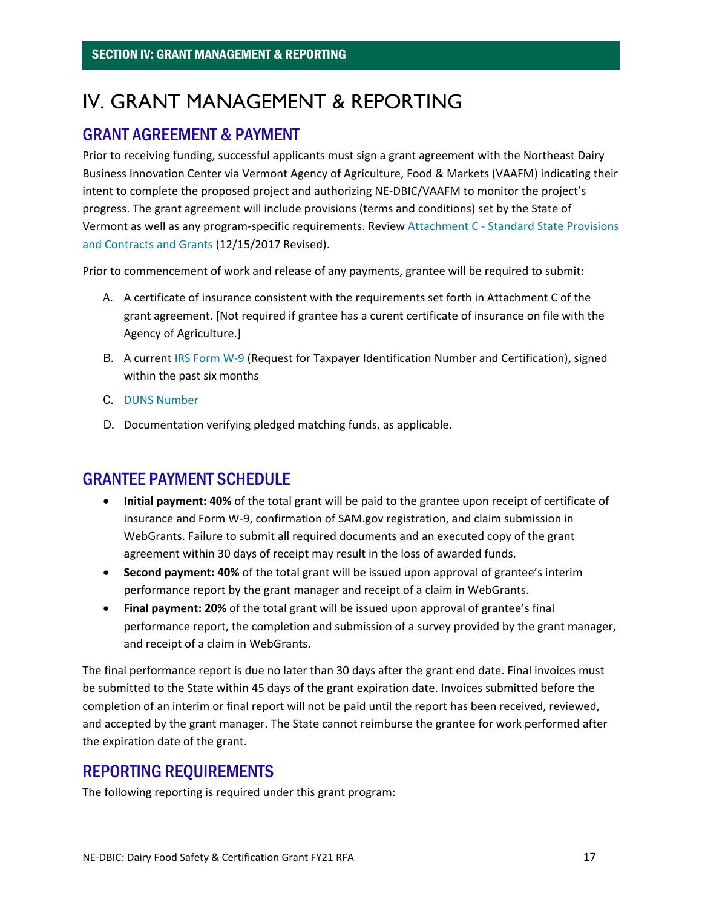# <span id="page-16-0"></span>IV. GRANT MANAGEMENT & REPORTING

### GRANT AGREEMENT & PAYMENT

Prior to receiving funding, successful applicants must sign a grant agreement with the Northeast Dairy Business Innovation Center via Vermont Agency of Agriculture, Food & Markets (VAAFM) indicating their intent to complete the proposed project and authorizing NE-DBIC/VAAFM to monitor the project's progress. The grant agreement will include provisions (terms and conditions) set by the State of Vermont as well as any program-specific requirements. Review Attachment C - [Standard State Provisions](https://bgs.vermont.gov/sites/bgs/files/files/purchasing-contracting/Forms/ATTACHMENT%20C%20-%20rev%20Dec%202017%20CLEAN.pdf)  [and Contracts and Grants](https://bgs.vermont.gov/sites/bgs/files/files/purchasing-contracting/Forms/ATTACHMENT%20C%20-%20rev%20Dec%202017%20CLEAN.pdf) (12/15/2017 Revised).

Prior to commencement of work and release of any payments, grantee will be required to submit:

- A. A certificate of insurance consistent with the requirements set forth in Attachment C of the grant agreement. [Not required if grantee has a curent certificate of insurance on file with the Agency of Agriculture.]
- B. A current [IRS Form W-9](https://www.irs.gov/forms-pubs/about-form-w-9) (Request for Taxpayer Identification Number and Certification), signed within the past six months
- C. [DUNS Number](https://www.grants.gov/applicants/organization-registration/step-1-obtain-duns-number.html)
- D. Documentation verifying pledged matching funds, as applicable.

### GRANTEE PAYMENT SCHEDULE

- **Initial payment: 40%** of the total grant will be paid to the grantee upon receipt of certificate of insurance and Form W-9, confirmation of SAM.gov registration, and claim submission in WebGrants. Failure to submit all required documents and an executed copy of the grant agreement within 30 days of receipt may result in the loss of awarded funds.
- **Second payment: 40%** of the total grant will be issued upon approval of grantee's interim performance report by the grant manager and receipt of a claim in WebGrants.
- **Final payment: 20%** of the total grant will be issued upon approval of grantee's final performance report, the completion and submission of a survey provided by the grant manager, and receipt of a claim in WebGrants.

The final performance report is due no later than 30 days after the grant end date. Final invoices must be submitted to the State within 45 days of the grant expiration date. Invoices submitted before the completion of an interim or final report will not be paid until the report has been received, reviewed, and accepted by the grant manager. The State cannot reimburse the grantee for work performed after the expiration date of the grant.

### REPORTING REQUIREMENTS

The following reporting is required under this grant program: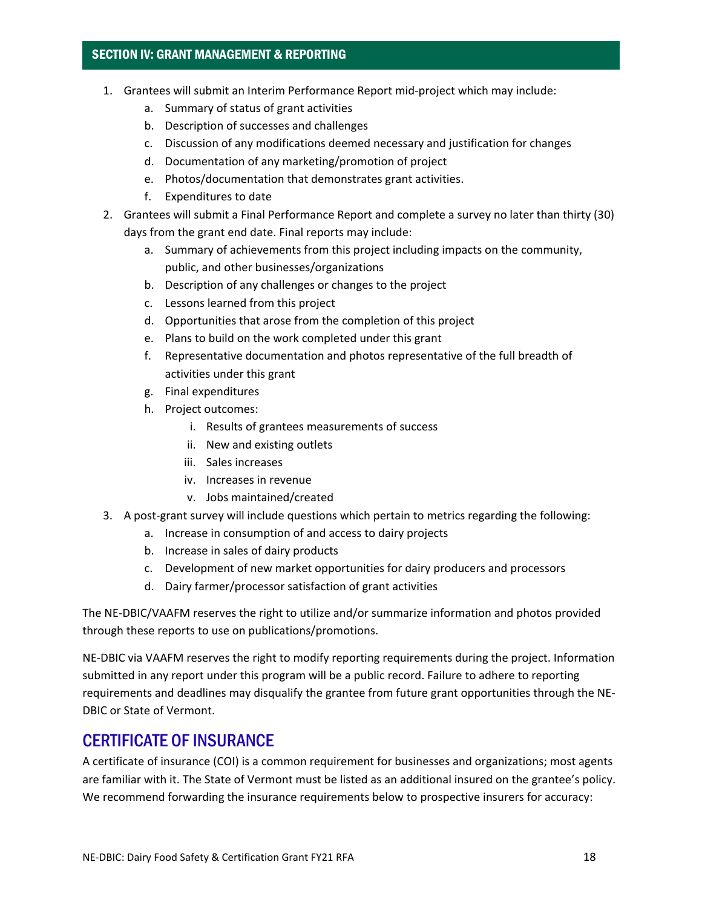### SECTION IV: GRANT MANAGEMENT & REPORTING

- 1. Grantees will submit an Interim Performance Report mid-project which may include:
	- a. Summary of status of grant activities
	- b. Description of successes and challenges
	- c. Discussion of any modifications deemed necessary and justification for changes
	- d. Documentation of any marketing/promotion of project
	- e. Photos/documentation that demonstrates grant activities.
	- f. Expenditures to date
- 2. Grantees will submit a Final Performance Report and complete a survey no later than thirty (30) days from the grant end date. Final reports may include:
	- a. Summary of achievements from this project including impacts on the community, public, and other businesses/organizations
	- b. Description of any challenges or changes to the project
	- c. Lessons learned from this project
	- d. Opportunities that arose from the completion of this project
	- e. Plans to build on the work completed under this grant
	- f. Representative documentation and photos representative of the full breadth of activities under this grant
	- g. Final expenditures
	- h. Project outcomes:
		- i. Results of grantees measurements of success
		- ii. New and existing outlets
		- iii. Sales increases
		- iv. Increases in revenue
		- v. Jobs maintained/created
- 3. A post-grant survey will include questions which pertain to metrics regarding the following:
	- a. Increase in consumption of and access to dairy projects
	- b. Increase in sales of dairy products
	- c. Development of new market opportunities for dairy producers and processors
	- d. Dairy farmer/processor satisfaction of grant activities

The NE-DBIC/VAAFM reserves the right to utilize and/or summarize information and photos provided through these reports to use on publications/promotions.

NE-DBIC via VAAFM reserves the right to modify reporting requirements during the project. Information submitted in any report under this program will be a public record. Failure to adhere to reporting requirements and deadlines may disqualify the grantee from future grant opportunities through the NE-DBIC or State of Vermont.

### CERTIFICATE OF INSURANCE

A certificate of insurance (COI) is a common requirement for businesses and organizations; most agents are familiar with it. The State of Vermont must be listed as an additional insured on the grantee's policy. We recommend forwarding the insurance requirements below to prospective insurers for accuracy: